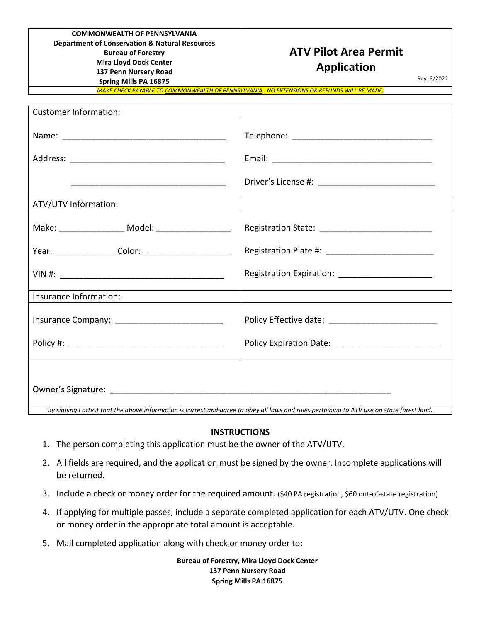## **COMMONWEALTH OF PENNSYLVANIA Department of Conservation & Natural Resources Bureau of Forestry Mira Lloyd Dock Center 137 Penn Nursery Road Spring Mills PA 16875**

# **ATV Pilot Area Permit Application**

Rev. 3/2022

*MAKE CHECK PAYABLE TO COMMONWEALTH OF PENNSYLVANIA. NO EXTENSIONS OR REFUNDS WILL BE MADE.*

| <b>Customer Information:</b>                                                                                                               |                                                   |
|--------------------------------------------------------------------------------------------------------------------------------------------|---------------------------------------------------|
|                                                                                                                                            |                                                   |
|                                                                                                                                            |                                                   |
|                                                                                                                                            |                                                   |
| ATV/UTV Information:                                                                                                                       |                                                   |
| Make: ____________________ Model: _____________________                                                                                    |                                                   |
|                                                                                                                                            |                                                   |
|                                                                                                                                            |                                                   |
| Insurance Information:                                                                                                                     |                                                   |
|                                                                                                                                            |                                                   |
|                                                                                                                                            | Policy Expiration Date: _________________________ |
| By signing I attest that the above information is correct and agree to obey all laws and rules pertaining to ATV use on state forest land. |                                                   |
|                                                                                                                                            |                                                   |

#### **INSTRUCTIONS**

- 1. The person completing this application must be the owner of the ATV/UTV.
- 2. All fields are required, and the application must be signed by the owner. Incomplete applications will be returned.
- 3. Include a check or money order for the required amount. (\$40 PA registration, \$60 out-of-state registration)
- 4. If applying for multiple passes, include a separate completed application for each ATV/UTV. One check or money order in the appropriate total amount is acceptable.
- 5. Mail completed application along with check or money order to:

**Bureau of Forestry, Mira Lloyd Dock Center 137 Penn Nursery Road Spring Mills PA 16875**